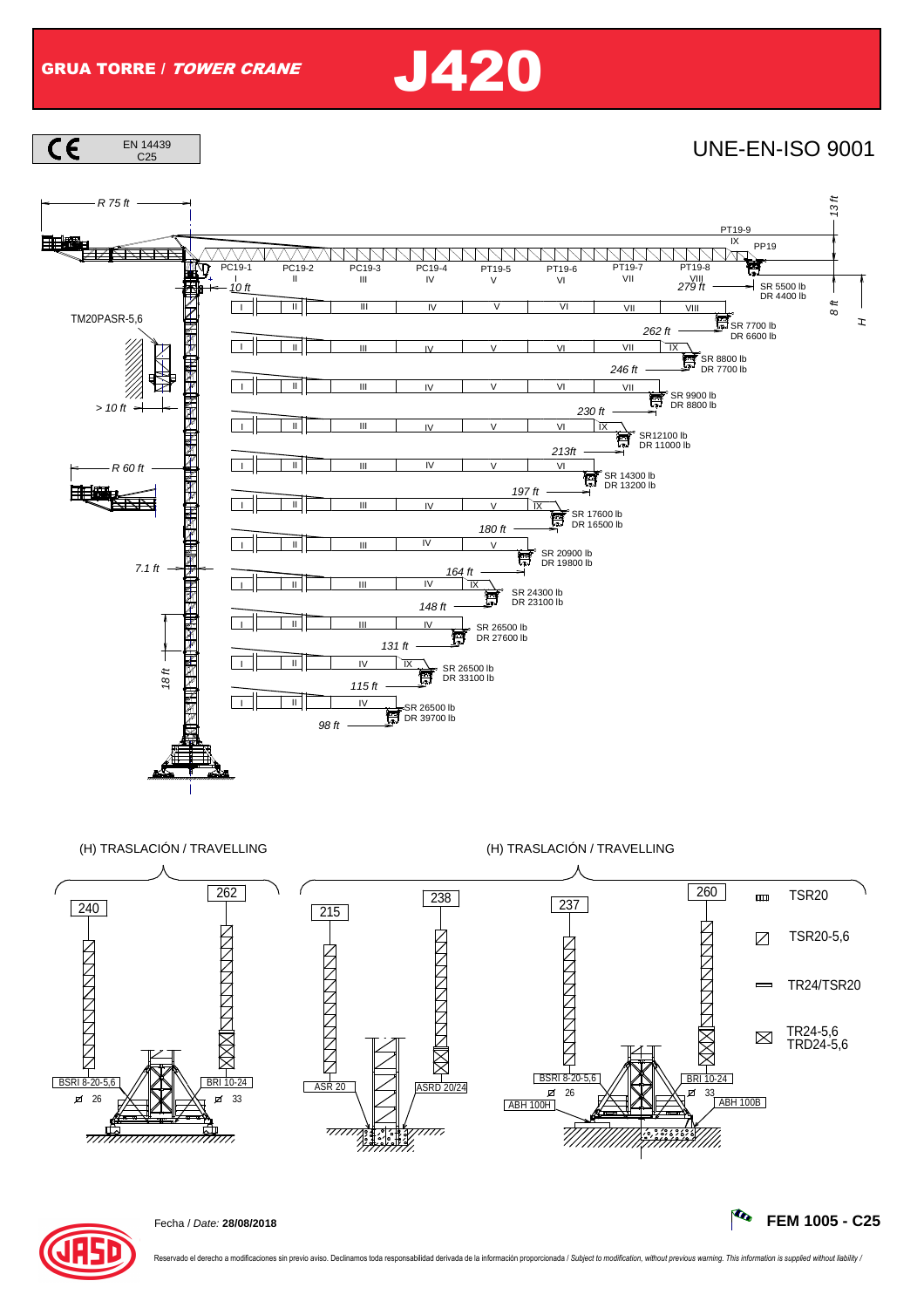







Fecha / Date: **28/08/2018 FEM 1005 - C25**

vado el derecho a modificaciones sin previo aviso. Declinamos toda responsabilidad derivada de la información proporcionada / Subject to modification, without previous warning. This information is supplied without liabilit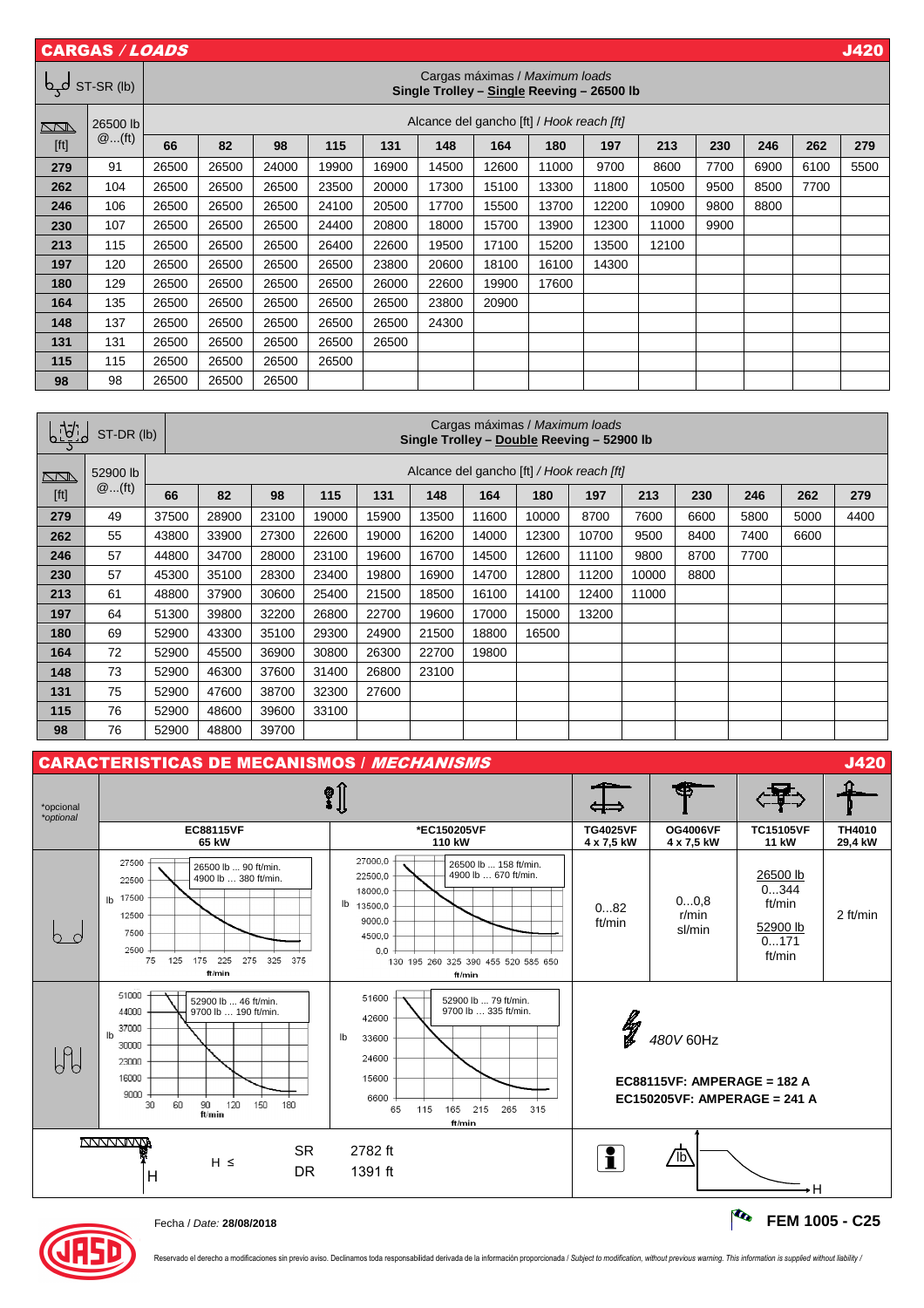|        | <b>CARGAS / LOADS</b><br><b>J420</b>                                                       |                                           |       |       |       |       |       |       |       |       |       |      |      |      |      |
|--------|--------------------------------------------------------------------------------------------|-------------------------------------------|-------|-------|-------|-------|-------|-------|-------|-------|-------|------|------|------|------|
| لهې    | Cargas máximas / Maximum loads<br>ST-SR (lb)<br>Single Trolley - Single Reeving - 26500 lb |                                           |       |       |       |       |       |       |       |       |       |      |      |      |      |
| $\Box$ | 26500 lb                                                                                   | Alcance del gancho [ft] / Hook reach [ft] |       |       |       |       |       |       |       |       |       |      |      |      |      |
| [ft]   | $@$ (ft)                                                                                   | 66                                        | 82    | 98    | 115   | 131   | 148   | 164   | 180   | 197   | 213   | 230  | 246  | 262  | 279  |
| 279    | 91                                                                                         | 26500                                     | 26500 | 24000 | 19900 | 16900 | 14500 | 12600 | 11000 | 9700  | 8600  | 7700 | 6900 | 6100 | 5500 |
| 262    | 104                                                                                        | 26500                                     | 26500 | 26500 | 23500 | 20000 | 17300 | 15100 | 13300 | 11800 | 10500 | 9500 | 8500 | 7700 |      |
| 246    | 106                                                                                        | 26500                                     | 26500 | 26500 | 24100 | 20500 | 17700 | 15500 | 13700 | 12200 | 10900 | 9800 | 8800 |      |      |
| 230    | 107                                                                                        | 26500                                     | 26500 | 26500 | 24400 | 20800 | 18000 | 15700 | 13900 | 12300 | 11000 | 9900 |      |      |      |
| 213    | 115                                                                                        | 26500                                     | 26500 | 26500 | 26400 | 22600 | 19500 | 17100 | 15200 | 13500 | 12100 |      |      |      |      |
| 197    | 120                                                                                        | 26500                                     | 26500 | 26500 | 26500 | 23800 | 20600 | 18100 | 16100 | 14300 |       |      |      |      |      |
| 180    | 129                                                                                        | 26500                                     | 26500 | 26500 | 26500 | 26000 | 22600 | 19900 | 17600 |       |       |      |      |      |      |
| 164    | 135                                                                                        | 26500                                     | 26500 | 26500 | 26500 | 26500 | 23800 | 20900 |       |       |       |      |      |      |      |
| 148    | 137                                                                                        | 26500                                     | 26500 | 26500 | 26500 | 26500 | 24300 |       |       |       |       |      |      |      |      |
| 131    | 131                                                                                        | 26500                                     | 26500 | 26500 | 26500 | 26500 |       |       |       |       |       |      |      |      |      |
| 115    | 115                                                                                        | 26500                                     | 26500 | 26500 | 26500 |       |       |       |       |       |       |      |      |      |      |
| 98     | 98                                                                                         | 26500                                     | 26500 | 26500 |       |       |       |       |       |       |       |      |      |      |      |

| <u>ligic</u><br>ST-DR (lb) |          |       | Cargas máximas / Maximum loads<br>Single Trolley - Double Reeving - 52900 lb |       |       |       |       |          |       |       |       |      |      |      |      |
|----------------------------|----------|-------|------------------------------------------------------------------------------|-------|-------|-------|-------|----------|-------|-------|-------|------|------|------|------|
| $\sum$                     | 52900 lb |       | Alcance del gancho [ft] / Hook reach [ft]                                    |       |       |       |       |          |       |       |       |      |      |      |      |
| [ft]                       | $@$ (ft) | 66    | 82                                                                           | 98    | 115   | 131   | 148   | 164      | 180   | 197   | 213   | 230  | 246  | 262  | 279  |
| 279                        | 49       | 37500 | 28900                                                                        | 23100 | 19000 | 15900 | 13500 | 11600    | 10000 | 8700  | 7600  | 6600 | 5800 | 5000 | 4400 |
| 262                        | 55       | 43800 | 33900                                                                        | 27300 | 22600 | 19000 | 16200 | 14000    | 12300 | 10700 | 9500  | 8400 | 7400 | 6600 |      |
| 246                        | 57       | 44800 | 34700                                                                        | 28000 | 23100 | 19600 | 16700 | 14500    | 12600 | 11100 | 9800  | 8700 | 7700 |      |      |
| 230                        | 57       | 45300 | 35100                                                                        | 28300 | 23400 | 19800 | 16900 | 14700    | 12800 | 11200 | 10000 | 8800 |      |      |      |
| 213                        | 61       | 48800 | 37900                                                                        | 30600 | 25400 | 21500 | 18500 | 16100    | 14100 | 12400 | 11000 |      |      |      |      |
| 197                        | 64       | 51300 | 39800                                                                        | 32200 | 26800 | 22700 | 19600 | 17000    | 15000 | 13200 |       |      |      |      |      |
| 180                        | 69       | 52900 | 43300                                                                        | 35100 | 29300 | 24900 | 21500 | 18800    | 16500 |       |       |      |      |      |      |
| 164                        | 72       | 52900 | 45500                                                                        | 36900 | 30800 | 26300 | 22700 | 19800    |       |       |       |      |      |      |      |
| 148                        | 73       | 52900 | 46300                                                                        | 37600 | 31400 | 26800 | 23100 | <u>—</u> |       |       |       |      |      |      |      |
| 131                        | 75       | 52900 | 47600                                                                        | 38700 | 32300 | 27600 |       |          |       |       |       |      |      |      |      |
| 115                        | 76       | 52900 | 48600                                                                        | 39600 | 33100 | —     |       |          |       |       |       |      |      |      |      |
| 98                         | 76       | 52900 | 48800                                                                        | 39700 |       |       |       |          |       |       |       |      |      |      |      |





Reservado el derecho a modificaciones sin previo aviso. Declinamos toda responsabilidad derivada de la información proporcionada / Subject to modification, without previous warning. This information is supplied without lia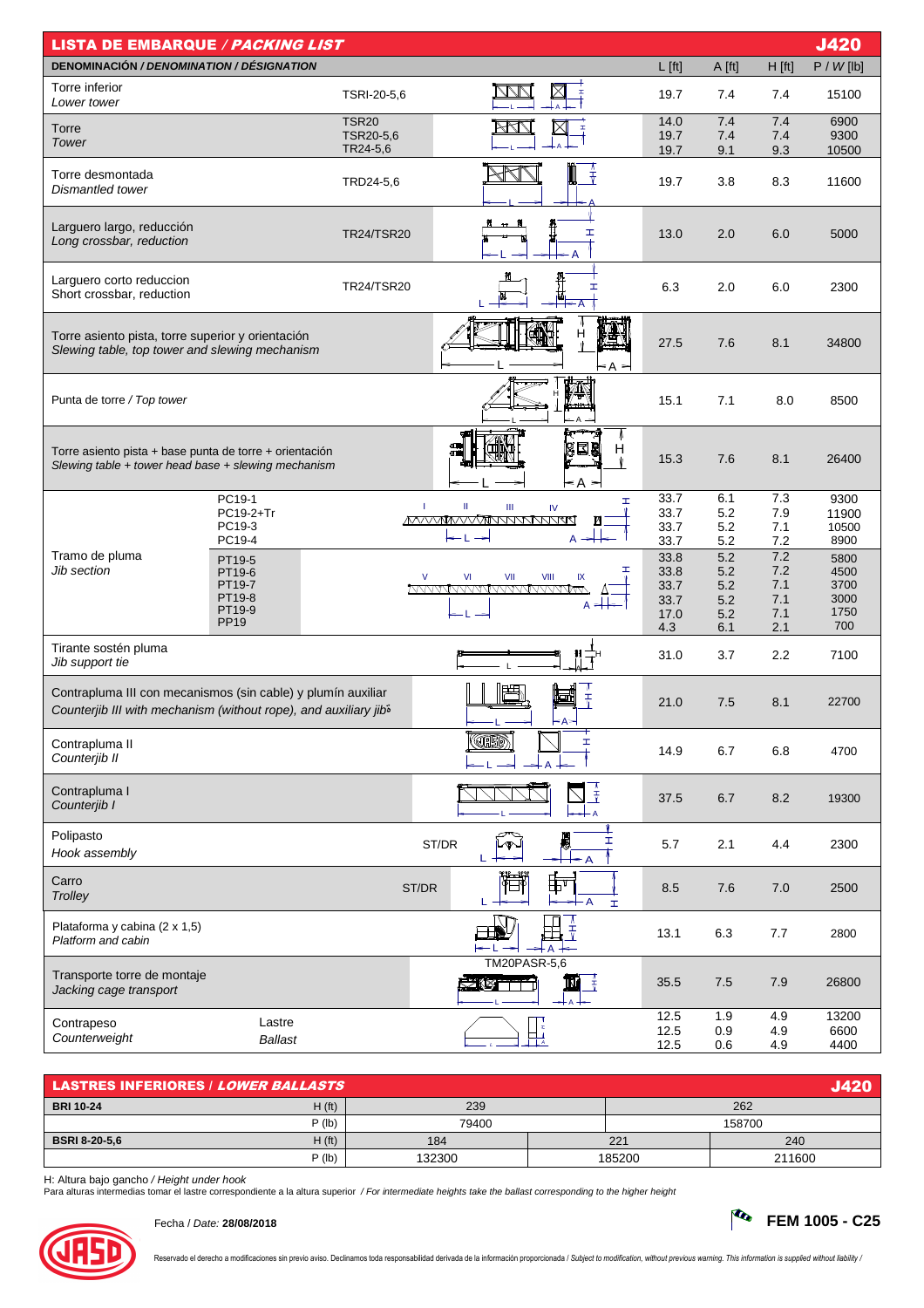| <b>J420</b><br><b>LISTA DE EMBARQUE / PACKING LIST</b>                                                                                       |                       |                       |                                                          |                   |                |            |               |  |
|----------------------------------------------------------------------------------------------------------------------------------------------|-----------------------|-----------------------|----------------------------------------------------------|-------------------|----------------|------------|---------------|--|
| DENOMINACIÓN / DENOMINATION / DÉSIGNATION                                                                                                    |                       |                       |                                                          | $L$ [ft]          | A [ft]         | $H$ [ft]   | P / W [lb]    |  |
| Torre inferior<br>Lower tower                                                                                                                |                       | TSRI-20-5,6           | Ŧ                                                        | 19.7              | 7.4            | 7.4        | 15100         |  |
| Torre                                                                                                                                        |                       | <b>TSR20</b>          |                                                          | 14.0              | 7.4            | 7.4        | 6900          |  |
| Tower                                                                                                                                        |                       | TSR20-5,6<br>TR24-5,6 |                                                          | 19.7<br>19.7      | 7.4<br>9.1     | 7.4<br>9.3 | 9300<br>10500 |  |
| Torre desmontada<br>Dismantled tower                                                                                                         |                       | TRD24-5,6             | ↨                                                        | 19.7              | 3.8            | 8.3        | 11600         |  |
| Larguero largo, reducción<br>Long crossbar, reduction                                                                                        |                       | <b>TR24/TSR20</b>     | Ŧ                                                        | 13.0              | 2.0            | 6.0        | 5000          |  |
| Larguero corto reduccion<br>Short crossbar, reduction                                                                                        |                       | <b>TR24/TSR20</b>     | H                                                        | 6.3               | 2.0            | 6.0        | 2300          |  |
| Torre asiento pista, torre superior y orientación<br>Slewing table, top tower and slewing mechanism                                          |                       |                       | н<br>< A >                                               | 27.5              | 7.6            | 8.1        | 34800         |  |
| Punta de torre / Top tower                                                                                                                   |                       |                       |                                                          | 15.1              | 7.1            | 8.0        | 8500          |  |
| Torre asiento pista + base punta de torre + orientación<br>Slewing table $+$ tower head base $+$ slewing mechanism                           |                       |                       | 838<br>≤A >                                              | H<br>15.3<br>Ŵ    | 7.6            | 8.1        | 26400         |  |
|                                                                                                                                              | PC19-1                |                       | T<br>$\rm H$<br>$\ensuremath{\mathsf{III}}\xspace$<br>IV | 33.7<br>H         | 6.1            | 7.3        | 9300          |  |
|                                                                                                                                              | PC19-2+Tr<br>PC19-3   | 33.7<br>33.7          | 5.2<br>5.2                                               | 7.9<br>7.1        | 11900<br>10500 |            |               |  |
| Tramo de pluma                                                                                                                               | PC19-4                |                       | ←L<br>A                                                  | 33.7              | 5.2<br>5.2     | 7.2<br>7.2 | 8900          |  |
| Jib section                                                                                                                                  | PT19-5<br>PT19-6      |                       | $\vee$<br>VII<br>VI<br>VIII<br>IX                        | 33.8<br>ᆂ<br>33.8 | 5.2            | 7.2        | 5800<br>4500  |  |
|                                                                                                                                              | PT19-7<br>PT19-8      |                       | <u>MVVVVVVVVVVVVVVVVVVV</u>                              | 33.7<br>33.7      | 5.2<br>5.2     | 7.1<br>7.1 | 3700<br>3000  |  |
|                                                                                                                                              | PT19-9<br><b>PP19</b> |                       | $A \neq$<br>– L →                                        | 17.0              | 5.2            | 7.1        | 1750          |  |
|                                                                                                                                              |                       |                       |                                                          | 4.3               | 6.1            | 2.1        | 700           |  |
| Tirante sostén pluma<br>Jib support tie                                                                                                      |                       |                       |                                                          | 31.0              | 3.7            | 2.2        | 7100          |  |
| Contrapluma III con mecanismos (sin cable) y plumín auxiliar<br>Counterjib III with mechanism (without rope), and auxiliary jib <sup>5</sup> |                       |                       | ᆒ<br>$\bar{r}$<br>- А>                                   | 21.0              | 7.5            | 8.1        | 22700         |  |
| Contrapluma II<br>Counterjib II                                                                                                              |                       |                       | <b>JH5D</b><br>Ŧ,                                        | 14.9              | 6.7            | 6.8        | 4700          |  |
| Contrapluma I<br>Counterjib I                                                                                                                |                       |                       | Ï                                                        | 37.5              | 6.7            | 8.2        | 19300         |  |
| Polipasto<br>Hook assembly                                                                                                                   |                       |                       | 屬<br>I<br>ST/DR<br>∽T<br>L<br>← A                        | 5.7               | 2.1            | 4.4        | 2300          |  |
| Carro<br>Trolley                                                                                                                             |                       |                       | 壶<br>ST/DR<br>$\overline{A}$<br>L<br>H                   | 8.5               | 7.6            | 7.0        | 2500          |  |
| Plataforma y cabina (2 x 1,5)<br>Platform and cabin                                                                                          |                       |                       | $\bar{t}$                                                | 13.1              | 6.3            | 7.7        | 2800          |  |
| Transporte torre de montaje<br>Jacking cage transport                                                                                        |                       |                       | <b>TM20PASR-5,6</b><br>SKA TTI                           | 35.5              | 7.5            | 7.9        | 26800         |  |
| Contrapeso                                                                                                                                   | Lastre                |                       |                                                          | 12.5              | 1.9            | 4.9        | 13200         |  |
| Counterweight                                                                                                                                | <b>Ballast</b>        |                       | 电                                                        | 12.5<br>12.5      | 0.9<br>0.6     | 4.9<br>4.9 | 6600<br>4400  |  |

| <b>LASTRES INFERIORES / LOWER BALLASTS</b> |        |        |        |        |  |  |  |  |  |  |
|--------------------------------------------|--------|--------|--------|--------|--|--|--|--|--|--|
| H(ft)<br><b>BRI 10-24</b>                  | 239    | 262    |        |        |  |  |  |  |  |  |
| $P$ (lb)                                   | 79400  |        |        | 158700 |  |  |  |  |  |  |
| H(ft)<br><b>BSRI 8-20-5,6</b>              | 184    |        | 221    | 240    |  |  |  |  |  |  |
| $P$ (lb)                                   | 132300 | 185200 | 211600 |        |  |  |  |  |  |  |

H: Altura bajo gancho / Height under hook<br>Para alturas intermedias tomar el lastre correspondiente a la altura superior */ For intermediate heights take the ballast corresponding to the higher height*